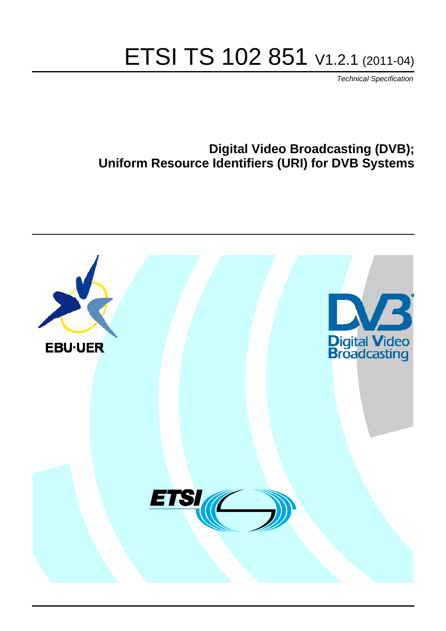# ETSI TS 102 851 V1.2.1 (2011-04)

*Technical Specification*

# **Digital Video Broadcasting (DVB); Uniform Resource Identifiers (URI) for DVB Systems**

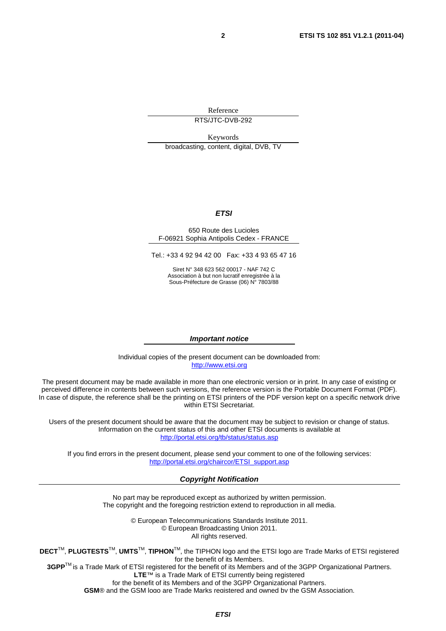Reference RTS/JTC-DVB-292

Keywords

broadcasting, content, digital, DVB, TV

#### *ETSI*

#### 650 Route des Lucioles F-06921 Sophia Antipolis Cedex - FRANCE

Tel.: +33 4 92 94 42 00 Fax: +33 4 93 65 47 16

Siret N° 348 623 562 00017 - NAF 742 C Association à but non lucratif enregistrée à la Sous-Préfecture de Grasse (06) N° 7803/88

#### *Important notice*

Individual copies of the present document can be downloaded from: [http://www.etsi.org](http://www.etsi.org/)

The present document may be made available in more than one electronic version or in print. In any case of existing or perceived difference in contents between such versions, the reference version is the Portable Document Format (PDF). In case of dispute, the reference shall be the printing on ETSI printers of the PDF version kept on a specific network drive within ETSI Secretariat.

Users of the present document should be aware that the document may be subject to revision or change of status. Information on the current status of this and other ETSI documents is available at <http://portal.etsi.org/tb/status/status.asp>

If you find errors in the present document, please send your comment to one of the following services: [http://portal.etsi.org/chaircor/ETSI\\_support.asp](http://portal.etsi.org/chaircor/ETSI_support.asp)

#### *Copyright Notification*

No part may be reproduced except as authorized by written permission. The copyright and the foregoing restriction extend to reproduction in all media.

> © European Telecommunications Standards Institute 2011. © European Broadcasting Union 2011. All rights reserved.

**DECT**TM, **PLUGTESTS**TM, **UMTS**TM, **TIPHON**TM, the TIPHON logo and the ETSI logo are Trade Marks of ETSI registered for the benefit of its Members.

**3GPP**TM is a Trade Mark of ETSI registered for the benefit of its Members and of the 3GPP Organizational Partners. **LTE**™ is a Trade Mark of ETSI currently being registered

for the benefit of its Members and of the 3GPP Organizational Partners.

**GSM**® and the GSM logo are Trade Marks registered and owned by the GSM Association.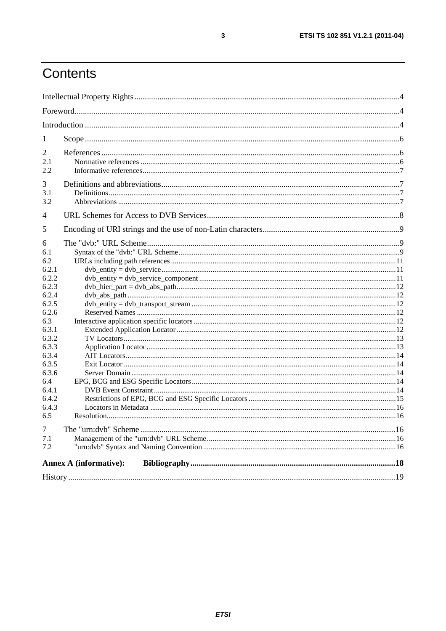# Contents

| 1            |                               |  |
|--------------|-------------------------------|--|
| 2            |                               |  |
| 2.1          |                               |  |
| 2.2          |                               |  |
| 3            |                               |  |
| 3.1          |                               |  |
| 3.2          |                               |  |
| 4            |                               |  |
| 5            |                               |  |
| 6            |                               |  |
| 6.1          |                               |  |
| 6.2          |                               |  |
| 6.2.1        |                               |  |
| 6.2.2        |                               |  |
| 6.2.3        |                               |  |
| 6.2.4        |                               |  |
| 6.2.5        |                               |  |
| 6.2.6        |                               |  |
| 6.3          |                               |  |
| 6.3.1        |                               |  |
| 6.3.2        |                               |  |
| 6.3.3        |                               |  |
| 6.3.4        |                               |  |
| 6.3.5        |                               |  |
| 6.3.6        |                               |  |
| 6.4<br>6.4.1 |                               |  |
| 6.4.2        |                               |  |
| 6.4.3        |                               |  |
| 6.5          |                               |  |
| 7            |                               |  |
| 7.1          |                               |  |
| 7.2          |                               |  |
|              | <b>Annex A (informative):</b> |  |
|              |                               |  |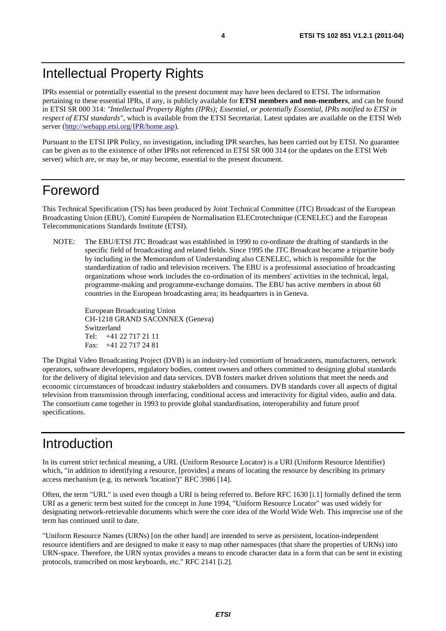IPRs essential or potentially essential to the present document may have been declared to ETSI. The information pertaining to these essential IPRs, if any, is publicly available for **ETSI members and non-members**, and can be found in ETSI SR 000 314: *"Intellectual Property Rights (IPRs); Essential, or potentially Essential, IPRs notified to ETSI in respect of ETSI standards"*, which is available from the ETSI Secretariat. Latest updates are available on the ETSI Web server ([http://webapp.etsi.org/IPR/home.asp\)](http://webapp.etsi.org/IPR/home.asp).

Pursuant to the ETSI IPR Policy, no investigation, including IPR searches, has been carried out by ETSI. No guarantee can be given as to the existence of other IPRs not referenced in ETSI SR 000 314 (or the updates on the ETSI Web server) which are, or may be, or may become, essential to the present document.

### Foreword

This Technical Specification (TS) has been produced by Joint Technical Committee (JTC) Broadcast of the European Broadcasting Union (EBU), Comité Européen de Normalisation ELECtrotechnique (CENELEC) and the European Telecommunications Standards Institute (ETSI).

NOTE: The EBU/ETSI JTC Broadcast was established in 1990 to co-ordinate the drafting of standards in the specific field of broadcasting and related fields. Since 1995 the JTC Broadcast became a tripartite body by including in the Memorandum of Understanding also CENELEC, which is responsible for the standardization of radio and television receivers. The EBU is a professional association of broadcasting organizations whose work includes the co-ordination of its members' activities in the technical, legal, programme-making and programme-exchange domains. The EBU has active members in about 60 countries in the European broadcasting area; its headquarters is in Geneva.

European Broadcasting Union CH-1218 GRAND SACONNEX (Geneva) Switzerland Tel: +41 22 717 21 11 Fax: +41 22 717 24 81

The Digital Video Broadcasting Project (DVB) is an industry-led consortium of broadcasters, manufacturers, network operators, software developers, regulatory bodies, content owners and others committed to designing global standards for the delivery of digital television and data services. DVB fosters market driven solutions that meet the needs and economic circumstances of broadcast industry stakeholders and consumers. DVB standards cover all aspects of digital television from transmission through interfacing, conditional access and interactivity for digital video, audio and data. The consortium came together in 1993 to provide global standardisation, interoperability and future proof specifications.

# Introduction

In its current strict technical meaning, a URL (Uniform Resource Locator) is a URI (Uniform Resource Identifier) which, "in addition to identifying a resource, [provides] a means of locating the resource by describing its primary access mechanism (e.g. its network 'location')" RFC 3986 [14].

Often, the term "URL" is used even though a URI is being referred to. Before RFC 1630 [i.1] formally defined the term URI as a generic term best suited for the concept in June 1994, "Uniform Resource Locator" was used widely for designating network-retrievable documents which were the core idea of the World Wide Web. This imprecise use of the term has continued until to date.

"Uniform Resource Names (URNs) [on the other hand] are intended to serve as persistent, location-independent resource identifiers and are designed to make it easy to map other namespaces (that share the properties of URNs) into URN-space. Therefore, the URN syntax provides a means to encode character data in a form that can be sent in existing protocols, transcribed on most keyboards, etc." RFC 2141 [i.2].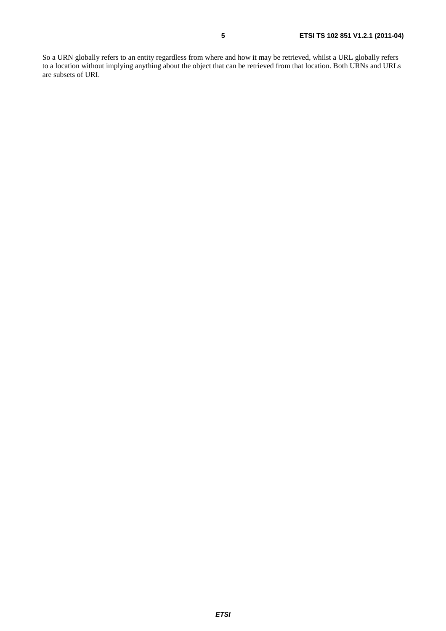So a URN globally refers to an entity regardless from where and how it may be retrieved, whilst a URL globally refers to a location without implying anything about the object that can be retrieved from that location. Both URNs and URLs are subsets of URI.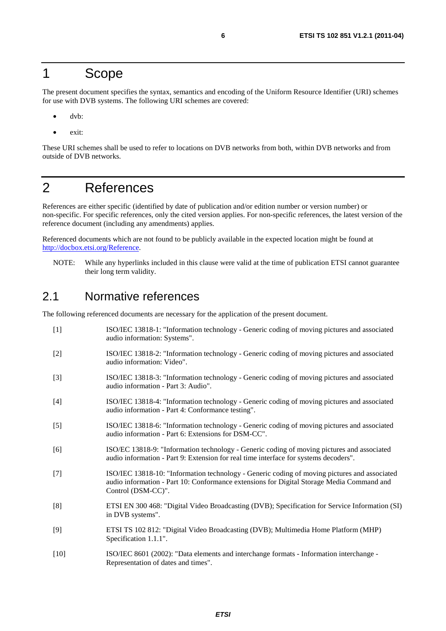#### 1 Scope

The present document specifies the syntax, semantics and encoding of the Uniform Resource Identifier (URI) schemes for use with DVB systems. The following URI schemes are covered:

- dvb:
- exit:

These URI schemes shall be used to refer to locations on DVB networks from both, within DVB networks and from outside of DVB networks.

### 2 References

References are either specific (identified by date of publication and/or edition number or version number) or non-specific. For specific references, only the cited version applies. For non-specific references, the latest version of the reference document (including any amendments) applies.

Referenced documents which are not found to be publicly available in the expected location might be found at [http://docbox.etsi.org/Reference.](http://docbox.etsi.org/Reference)

NOTE: While any hyperlinks included in this clause were valid at the time of publication ETSI cannot guarantee their long term validity.

#### 2.1 Normative references

The following referenced documents are necessary for the application of the present document.

[1] ISO/IEC 13818-1: "Information technology - Generic coding of moving pictures and associated audio information: Systems". [2] ISO/IEC 13818-2: "Information technology - Generic coding of moving pictures and associated audio information: Video". [3] ISO/IEC 13818-3: "Information technology - Generic coding of moving pictures and associated audio information - Part 3: Audio". [4] ISO/IEC 13818-4: "Information technology - Generic coding of moving pictures and associated audio information - Part 4: Conformance testing". [5] ISO/IEC 13818-6: "Information technology - Generic coding of moving pictures and associated audio information - Part 6: Extensions for DSM-CC". [6] ISO/EC 13818-9: "Information technology - Generic coding of moving pictures and associated audio information - Part 9: Extension for real time interface for systems decoders". [7] ISO/IEC 13818-10: "Information technology - Generic coding of moving pictures and associated audio information - Part 10: Conformance extensions for Digital Storage Media Command and Control (DSM-CC)". [8] ETSI EN 300 468: "Digital Video Broadcasting (DVB); Specification for Service Information (SI) in DVB systems". [9] ETSI TS 102 812: "Digital Video Broadcasting (DVB); Multimedia Home Platform (MHP) Specification 1.1.1". [10] ISO/IEC 8601 (2002): "Data elements and interchange formats - Information interchange - Representation of dates and times".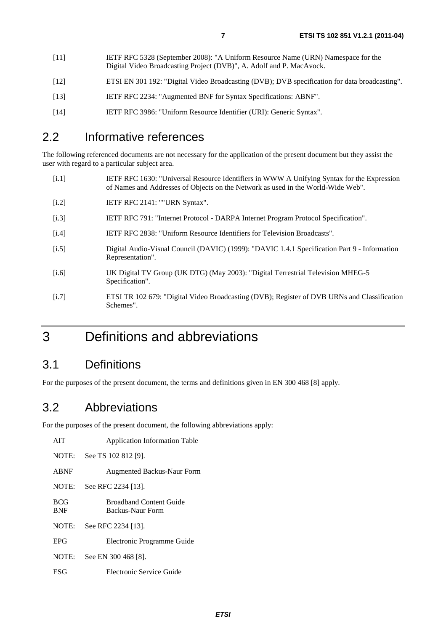- [11] IETF RFC 5328 (September 2008): "A Uniform Resource Name (URN) Namespace for the Digital Video Broadcasting Project (DVB)", A. Adolf and P. MacAvock.
- [12] ETSI EN 301 192: "Digital Video Broadcasting (DVB); DVB specification for data broadcasting".
- [13] IETF RFC 2234: "Augmented BNF for Syntax Specifications: ABNF".
- [14] IETF RFC 3986: "Uniform Resource Identifier (URI): Generic Syntax".

### 2.2 Informative references

The following referenced documents are not necessary for the application of the present document but they assist the user with regard to a particular subject area.

- [i.1] IETF RFC 1630: "Universal Resource Identifiers in WWW A Unifying Syntax for the Expression of Names and Addresses of Objects on the Network as used in the World-Wide Web".
- [i.2] **IETF RFC 2141: ""URN Syntax".**
- [i.3] IETF RFC 791: "Internet Protocol DARPA Internet Program Protocol Specification".
- [i.4] IETF RFC 2838: "Uniform Resource Identifiers for Television Broadcasts".
- [i.5] Digital Audio-Visual Council (DAVIC) (1999): "DAVIC 1.4.1 Specification Part 9 Information Representation".
- [i.6] UK Digital TV Group (UK DTG) (May 2003): "Digital Terrestrial Television MHEG-5 Specification".
- [i.7] ETSI TR 102 679: "Digital Video Broadcasting (DVB); Register of DVB URNs and Classification Schemes".

# 3 Definitions and abbreviations

### 3.1 Definitions

For the purposes of the present document, the terms and definitions given in EN 300 468 [8] apply.

### 3.2 Abbreviations

For the purposes of the present document, the following abbreviations apply:

| AIT                      | <b>Application Information Table</b>               |
|--------------------------|----------------------------------------------------|
| NOTE:                    | See TS 102 812 [9].                                |
| <b>ABNF</b>              | <b>Augmented Backus-Naur Form</b>                  |
| NOTE:                    | See RFC 2234 [13].                                 |
| <b>BCG</b><br><b>BNF</b> | <b>Broadband Content Guide</b><br>Backus-Naur Form |
| NOTE:                    | See RFC 2234 [13].                                 |
| <b>EPG</b>               | Electronic Programme Guide                         |
| NOTE:                    | See EN 300 468 [8].                                |
| ESG                      | Electronic Service Guide                           |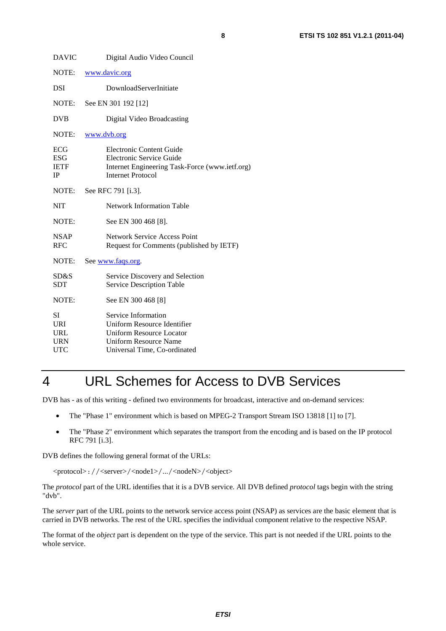# 4 URL Schemes for Access to DVB Services

DVB has - as of this writing - defined two environments for broadcast, interactive and on-demand services:

- The "Phase 1" environment which is based on MPEG-2 Transport Stream ISO 13818 [1] to [7].
- The "Phase 2" environment which separates the transport from the encoding and is based on the IP protocol RFC 791 [i.3].

DVB defines the following general format of the URLs:

<protocol>://<server>/<node1>/.../<nodeN>/<object>

The *protocol* part of the URL identifies that it is a DVB service. All DVB defined *protocol* tags begin with the string "dvb".

The *server* part of the URL points to the network service access point (NSAP) as services are the basic element that is carried in DVB networks. The rest of the URL specifies the individual component relative to the respective NSAP.

The format of the *object* part is dependent on the type of the service. This part is not needed if the URL points to the whole service.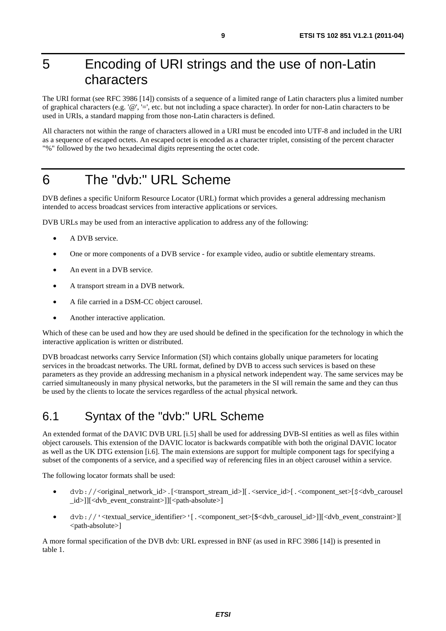# 5 Encoding of URI strings and the use of non-Latin characters

The URI format (see RFC 3986 [14]) consists of a sequence of a limited range of Latin characters plus a limited number of graphical characters (e.g. ' $@'$ , '=', etc. but not including a space character). In order for non-Latin characters to be used in URIs, a standard mapping from those non-Latin characters is defined.

All characters not within the range of characters allowed in a URI must be encoded into UTF-8 and included in the URI as a sequence of escaped octets. An escaped octet is encoded as a character triplet, consisting of the percent character "%" followed by the two hexadecimal digits representing the octet code.

# 6 The "dvb:" URL Scheme

DVB defines a specific Uniform Resource Locator (URL) format which provides a general addressing mechanism intended to access broadcast services from interactive applications or services.

DVB URLs may be used from an interactive application to address any of the following:

- A DVB service.
- One or more components of a DVB service for example video, audio or subtitle elementary streams.
- An event in a DVB service.
- A transport stream in a DVB network.
- A file carried in a DSM-CC object carousel.
- Another interactive application.

Which of these can be used and how they are used should be defined in the specification for the technology in which the interactive application is written or distributed.

DVB broadcast networks carry Service Information (SI) which contains globally unique parameters for locating services in the broadcast networks. The URL format, defined by DVB to access such services is based on these parameters as they provide an addressing mechanism in a physical network independent way. The same services may be carried simultaneously in many physical networks, but the parameters in the SI will remain the same and they can thus be used by the clients to locate the services regardless of the actual physical network.

### 6.1 Syntax of the "dvb:" URL Scheme

An extended format of the DAVIC DVB URL [i.5] shall be used for addressing DVB-SI entities as well as files within object carousels. This extension of the DAVIC locator is backwards compatible with both the original DAVIC locator as well as the UK DTG extension [i.6]. The main extensions are support for multiple component tags for specifying a subset of the components of a service, and a specified way of referencing files in an object carousel within a service.

The following locator formats shall be used:

- dvb://<original\_network\_id>.[<transport\_stream\_id>][. <service\_id>[. < component\_set>[\$<dvb\_carousel] \_id>]][<dvb\_event\_constraint>]][<path-absolute>]
- dvb://'<textual\_service\_identifier>'[.<component\_set>[\$<dvb\_carousel\_id>]][<dvb\_event\_constraint>][ <path-absolute>]

A more formal specification of the DVB dvb: URL expressed in BNF (as used in RFC 3986 [14]) is presented in table 1.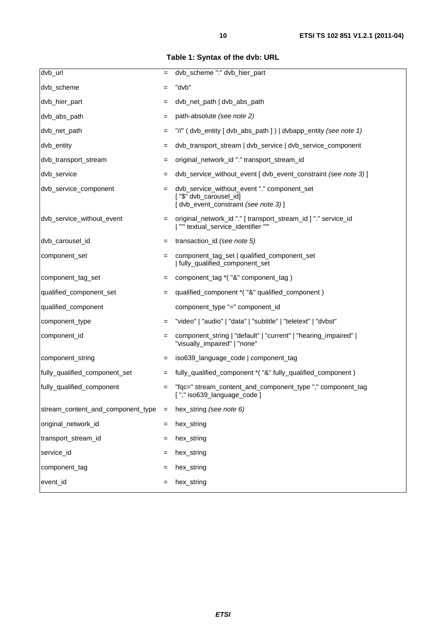**Table 1: Syntax of the dvb: URL** 

| dvb_url                           | $=$ | dvb_scheme ":" dvb_hier_part                                                                                 |
|-----------------------------------|-----|--------------------------------------------------------------------------------------------------------------|
| dvb_scheme                        |     | "dvb"                                                                                                        |
|                                   | $=$ |                                                                                                              |
| dvb_hier_part                     | $=$ | dvb_net_path   dvb_abs_path                                                                                  |
| dvb_abs_path                      | $=$ | path-absolute (see note 2)                                                                                   |
| dvb_net_path                      | $=$ | "//" (dvb_entity [dvb_abs_path ])   dvbapp_entity (see note 1)                                               |
| dvb_entity                        | $=$ | dvb_transport_stream   dvb_service   dvb_service_component                                                   |
| dvb_transport_stream              | $=$ | original_network_id "." transport_stream_id                                                                  |
| dvb_service                       |     | dvb_service_without_event [ dvb_event_constraint (see note 3) ]                                              |
| dvb_service_component             |     | dvb_service_without_event "." component_set<br>["\$" dvb_carousel_id]<br>[dvb_event_constraint (see note 3)] |
| dvb_service_without_event         | $=$ | original_network_id "." [ transport_stream_id ] "." service_id<br>  "" textual_service_identifier ""         |
| dvb_carousel_id                   | $=$ | transaction_id (see note 5)                                                                                  |
| component_set                     | $=$ | component_tag_set   qualified_component_set<br>  fully_qualified_component_set                               |
| component_tag_set                 | $=$ | component_tag *("&" component_tag)                                                                           |
| qualified_component_set           | $=$ | qualified_component *("&" qualified_component)                                                               |
| qualified_component               |     | component_type "=" component_id                                                                              |
| component_type                    |     | "video"   "audio"   "data"   "subtitle"   "teletext"   "dvbst"                                               |
| component_id                      | $=$ | component_string   "default"   "current"   "hearing_impaired"  <br>"visually_impaired"   "none"              |
| component_string                  | $=$ | iso639_language_code   component_tag                                                                         |
| fully_qualified_component_set     | $=$ | fully_qualified_component *("&" fully_qualified_component)                                                   |
| fully_qualified_component         |     | "fqc=" stream_content_and_component_type "," component_tag<br>["," iso639_language_code ]                    |
| stream_content_and_component_type | $=$ | hex_string (see note 6)                                                                                      |
| original_network_id               | $=$ | hex_string                                                                                                   |
| transport_stream_id               |     | hex_string                                                                                                   |
| service_id                        |     | hex_string                                                                                                   |
| component_tag                     |     | hex_string                                                                                                   |
| event_id                          | =   | hex_string                                                                                                   |
|                                   |     |                                                                                                              |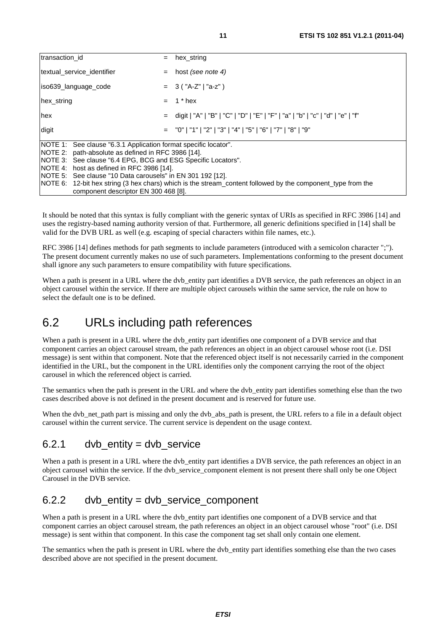| transaction id                                                                                                                                                                                                                                                                                                                                                                                                                                            | $=$ | hex string                                                                      |
|-----------------------------------------------------------------------------------------------------------------------------------------------------------------------------------------------------------------------------------------------------------------------------------------------------------------------------------------------------------------------------------------------------------------------------------------------------------|-----|---------------------------------------------------------------------------------|
| textual_service_identifier                                                                                                                                                                                                                                                                                                                                                                                                                                | $=$ | host (see note 4)                                                               |
| iso639 language code                                                                                                                                                                                                                                                                                                                                                                                                                                      |     | $= 3$ ("A-Z"   "a-z" )                                                          |
| hex_string                                                                                                                                                                                                                                                                                                                                                                                                                                                | $=$ | 1 * hex                                                                         |
| hex                                                                                                                                                                                                                                                                                                                                                                                                                                                       |     | = digit   "A"   "B"   "C"   "D"   "E"   "F"   "a"   "b"   "c"   "d"   "e"   "f" |
| digit                                                                                                                                                                                                                                                                                                                                                                                                                                                     |     | $=$ "0"   "1"   "2"   "3"   "4"   "5"   "6"   "7"   "8"   "9"                   |
| NOTE 1: See clause "6.3.1 Application format specific locator".<br>INOTE 2: path-absolute as defined in RFC 3986 [14].<br>NOTE 3: See clause "6.4 EPG, BCG and ESG Specific Locators".<br>NOTE 4: host as defined in RFC 3986 [14].<br>INOTE 5: See clause "10 Data carousels" in EN 301 192 [12].<br>NOTE 6: 12-bit hex string (3 hex chars) which is the stream_content followed by the component_type from the<br>component descriptor EN 300 468 [8]. |     |                                                                                 |

It should be noted that this syntax is fully compliant with the generic syntax of URIs as specified in RFC 3986 [14] and uses the registry-based naming authority version of that. Furthermore, all generic definitions specified in [14] shall be valid for the DVB URL as well (e.g. escaping of special characters within file names, etc.).

RFC 3986 [14] defines methods for path segments to include parameters (introduced with a semicolon character ";"). The present document currently makes no use of such parameters. Implementations conforming to the present document shall ignore any such parameters to ensure compatibility with future specifications.

When a path is present in a URL where the dvb entity part identifies a DVB service, the path references an object in an object carousel within the service. If there are multiple object carousels within the same service, the rule on how to select the default one is to be defined.

### 6.2 URLs including path references

When a path is present in a URL where the dvb\_entity part identifies one component of a DVB service and that component carries an object carousel stream, the path references an object in an object carousel whose root (i.e. DSI message) is sent within that component. Note that the referenced object itself is not necessarily carried in the component identified in the URL, but the component in the URL identifies only the component carrying the root of the object carousel in which the referenced object is carried.

The semantics when the path is present in the URL and where the dvb\_entity part identifies something else than the two cases described above is not defined in the present document and is reserved for future use.

When the dvb\_net\_path part is missing and only the dvb\_abs\_path is present, the URL refers to a file in a default object carousel within the current service. The current service is dependent on the usage context.

#### $6.2.1$  dvb entity = dvb service

When a path is present in a URL where the dvb entity part identifies a DVB service, the path references an object in an object carousel within the service. If the dvb\_service\_component element is not present there shall only be one Object Carousel in the DVB service.

#### 6.2.2 dvb\_entity = dvb\_service\_component

When a path is present in a URL where the dvb entity part identifies one component of a DVB service and that component carries an object carousel stream, the path references an object in an object carousel whose "root" (i.e. DSI message) is sent within that component. In this case the component tag set shall only contain one element.

The semantics when the path is present in URL where the dvb\_entity part identifies something else than the two cases described above are not specified in the present document.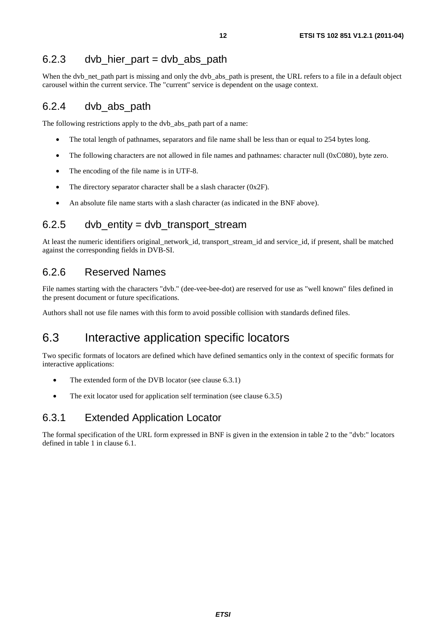#### $6.2.3$  dvb hier part = dvb abs path

When the dvb\_net\_path part is missing and only the dvb\_abs\_path is present, the URL refers to a file in a default object carousel within the current service. The "current" service is dependent on the usage context.

#### 6.2.4 dvb\_abs\_path

The following restrictions apply to the dvb\_abs\_path part of a name:

- The total length of pathnames, separators and file name shall be less than or equal to 254 bytes long.
- The following characters are not allowed in file names and pathnames: character null (0xC080), byte zero.
- The encoding of the file name is in UTF-8.
- The directory separator character shall be a slash character (0x2F).
- An absolute file name starts with a slash character (as indicated in the BNF above).

#### 6.2.5 dvb entity = dvb transport stream

At least the numeric identifiers original\_network\_id, transport\_stream\_id and service\_id, if present, shall be matched against the corresponding fields in DVB-SI.

#### 6.2.6 Reserved Names

File names starting with the characters "dvb." (dee-vee-bee-dot) are reserved for use as "well known" files defined in the present document or future specifications.

Authors shall not use file names with this form to avoid possible collision with standards defined files.

### 6.3 Interactive application specific locators

Two specific formats of locators are defined which have defined semantics only in the context of specific formats for interactive applications:

- The extended form of the DVB locator (see clause 6.3.1)
- The exit locator used for application self termination (see clause 6.3.5)

#### 6.3.1 Extended Application Locator

The formal specification of the URL form expressed in BNF is given in the extension in table 2 to the "dvb:" locators defined in table 1 in clause 6.1.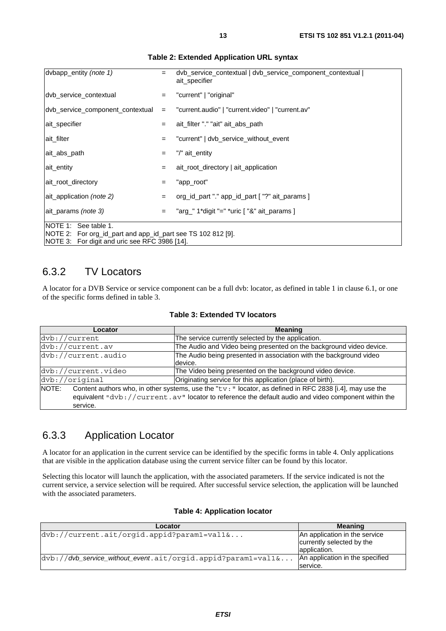| dvbapp_entity (note 1)                                                                                                                       | $=$ | dvb_service_contextual   dvb_service_component_contextual  <br>ait specifier |
|----------------------------------------------------------------------------------------------------------------------------------------------|-----|------------------------------------------------------------------------------|
| dvb_service_contextual                                                                                                                       | $=$ | "current"   "original"                                                       |
| $\frac{dv}{dx}$ service component contextual =                                                                                               |     | "current.audio"   "current.video"   "current.av"                             |
| ait specifier                                                                                                                                | $=$ | ait_filter "." "ait" ait_abs_path                                            |
| ait filter                                                                                                                                   | $=$ | "current"   dvb_service_without_event                                        |
| ait abs path                                                                                                                                 | $=$ | "/" ait_entity                                                               |
| ait entity                                                                                                                                   | $=$ | ait_root_directory   ait_application                                         |
| ait root directory                                                                                                                           | $=$ | "app_root"                                                                   |
| ait application (note 2)                                                                                                                     | $=$ | org_id_part "." app_id_part ["?" ait_params ]                                |
| ait params (note 3)                                                                                                                          | $=$ | "arg_" 1*digit "=" *uric [ "&" ait_params ]                                  |
| INOTE 1: See table 1.<br>NOTE 2: For org_id_part and app_id_part see TS 102 812 [9].<br><b>NOTE 3:</b> For digit and uric see RFC 3986 [14]. |     |                                                                              |

#### **Table 2: Extended Application URL syntax**

#### 6.3.2 TV Locators

A locator for a DVB Service or service component can be a full dvb: locator, as defined in table 1 in clause 6.1, or one of the specific forms defined in table 3.

| Table 3: Extended TV locators |  |
|-------------------------------|--|
|-------------------------------|--|

| Locator                                                                                                           | <b>Meaning</b>                                                      |  |
|-------------------------------------------------------------------------------------------------------------------|---------------------------------------------------------------------|--|
| dvb://current                                                                                                     | The service currently selected by the application.                  |  |
| $\frac{dv}{dx}$ ://current.av                                                                                     | The Audio and Video being presented on the background video device. |  |
| dvb://current.audio                                                                                               | The Audio being presented in association with the background video  |  |
|                                                                                                                   | device.                                                             |  |
| dvb://current.video                                                                                               | The Video being presented on the background video device.           |  |
| $\frac{dv}{dt}$ ://original                                                                                       | Originating service for this application (place of birth).          |  |
| Content authors who, in other systems, use the "tv: " locator, as defined in RFC 2838 [i.4], may use the<br>NOTE: |                                                                     |  |
| equivalent "dvb://current.av" locator to reference the default audio and video component within the               |                                                                     |  |
| service.                                                                                                          |                                                                     |  |

#### 6.3.3 Application Locator

A locator for an application in the current service can be identified by the specific forms in table 4. Only applications that are visible in the application database using the current service filter can be found by this locator.

Selecting this locator will launch the application, with the associated parameters. If the service indicated is not the current service, a service selection will be required. After successful service selection, the application will be launched with the associated parameters.

| Locator                                                            | <b>Meaning</b>                                                             |
|--------------------------------------------------------------------|----------------------------------------------------------------------------|
| $ dvb $ ://current.ait/orgid.appid?param1=val1&                    | An application in the service<br>currently selected by the<br>application. |
| $ dvb://dvb_senvice_without_events.ait/origid.append?param1=val1&$ | An application in the specified<br>service.                                |

#### **Table 4: Application locator**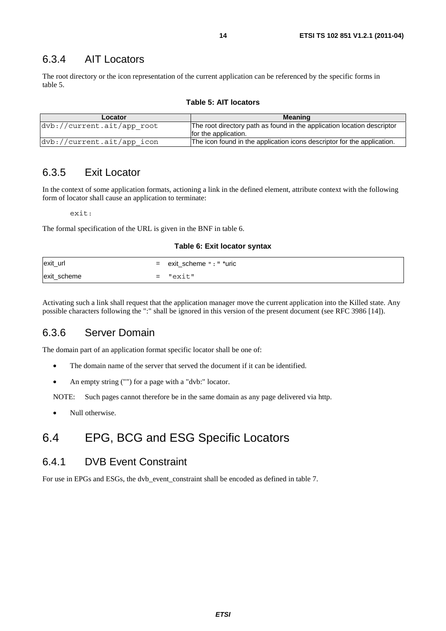#### 6.3.4 AIT Locators

The root directory or the icon representation of the current application can be referenced by the specific forms in table 5.

| Locator                    | <b>Meaning</b>                                                                                  |
|----------------------------|-------------------------------------------------------------------------------------------------|
| dvb://current.ait/app root | The root directory path as found in the application location descriptor<br>for the application. |
| dvb://current.ait/app icon | The icon found in the application icons descriptor for the application.                         |

#### 6.3.5 Exit Locator

In the context of some application formats, actioning a link in the defined element, attribute context with the following form of locator shall cause an application to terminate:

exit:

The formal specification of the URL is given in the BNF in table 6.

#### **Table 6: Exit locator syntax**

| exit_url    |     | = exit_scheme ": " *uric |
|-------------|-----|--------------------------|
| exit_scheme | $=$ | "exit"                   |

Activating such a link shall request that the application manager move the current application into the Killed state. Any possible characters following the ":" shall be ignored in this version of the present document (see RFC 3986 [14]).

#### 6.3.6 Server Domain

The domain part of an application format specific locator shall be one of:

- The domain name of the server that served the document if it can be identified.
- An empty string ("") for a page with a "dvb:" locator.

NOTE: Such pages cannot therefore be in the same domain as any page delivered via http.

• Null otherwise.

### 6.4 EPG, BCG and ESG Specific Locators

#### 6.4.1 DVB Event Constraint

For use in EPGs and ESGs, the dvb\_event\_constraint shall be encoded as defined in table 7.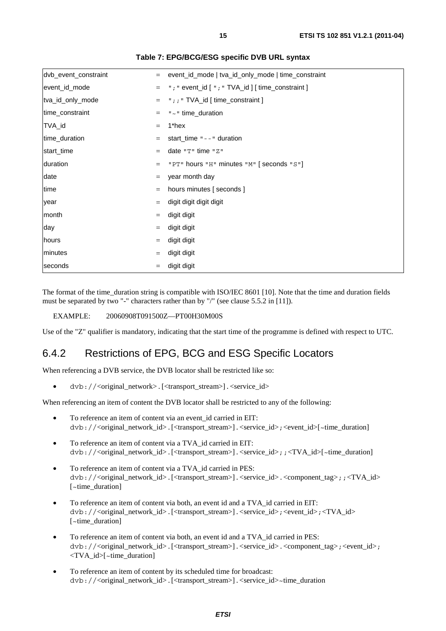| dvb_event_constraint | $=$ | event_id_mode   tva_id_only_mode   time_constraint   |
|----------------------|-----|------------------------------------------------------|
| event_id_mode        | $=$ | "; " event_id [ $"$ ; " TVA_id ] [ time_constraint ] |
| tva_id_only_mode     | $=$ | ";; " $TVA_id$ [ time_constraint ]                   |
| time_constraint      | $=$ | "~" time_duration                                    |
| TVA_id               | $=$ | 1*hex                                                |
| time_duration        | $=$ | start_time $" -- "$ duration                         |
| start_time           | $=$ | date "T" time "Z"                                    |
| duration             | $=$ | "PT" hours "H" minutes "M" [seconds "S"]             |
| date                 | $=$ | year month day                                       |
| time                 |     | hours minutes [seconds]                              |
| year                 | $=$ | digit digit digit digit                              |
| month                | $=$ | digit digit                                          |
| day                  | $=$ | digit digit                                          |
| hours                | $=$ | digit digit                                          |
| minutes              | $=$ | digit digit                                          |
| seconds              | $=$ | digit digit                                          |
|                      |     |                                                      |

#### **Table 7: EPG/BCG/ESG specific DVB URL syntax**

The format of the time\_duration string is compatible with ISO/IEC 8601 [10]. Note that the time and duration fields must be separated by two "-" characters rather than by "/" (see clause 5.5.2 in [11]).

EXAMPLE: 20060908T091500Z—PT00H30M00S

Use of the "Z" qualifier is mandatory, indicating that the start time of the programme is defined with respect to UTC.

#### 6.4.2 Restrictions of EPG, BCG and ESG Specific Locators

When referencing a DVB service, the DVB locator shall be restricted like so:

dvb://<original\_network>.[<transport\_stream>].<service\_id>

When referencing an item of content the DVB locator shall be restricted to any of the following:

- To reference an item of content via an event id carried in EIT: dvb://<original\_network\_id>.[<transport\_stream>].<service\_id>;<event\_id>[~time\_duration]
- To reference an item of content via a TVA\_id carried in EIT: dvb://<original\_network\_id>.[<transport\_stream>].<service\_id>; $\cdot$ ;<TVA\_id>[~time\_duration]
- To reference an item of content via a TVA\_id carried in PES: dvb://<original\_network\_id>.[<transport\_stream>].<service\_id>.<component\_tag>;;<TVA\_id> [~time\_duration]
- To reference an item of content via both, an event id and a TVA\_id carried in EIT: dvb://<original\_network\_id>.[<transport\_stream>].<service\_id>;<event\_id>;<TVA\_id> [~time\_duration]
- To reference an item of content via both, an event id and a TVA id carried in PES: dvb://<original\_network\_id>.[<transport\_stream>].<service\_id>.<component\_tag>;<event\_id>; <TVA\_id>[~time\_duration]
- To reference an item of content by its scheduled time for broadcast: dvb://<original\_network\_id>.[<transport\_stream>].<service\_id>~time\_duration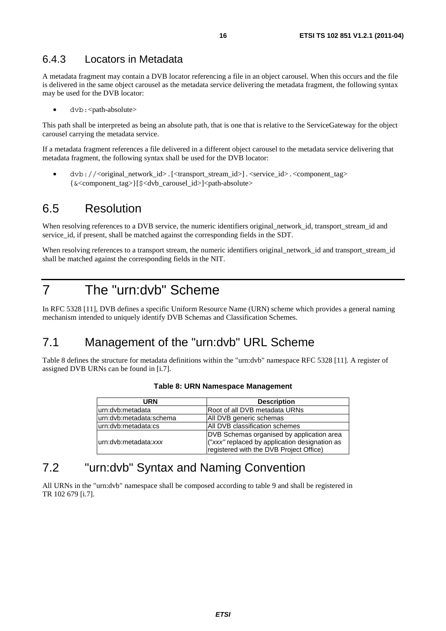#### 6.4.3 Locators in Metadata

A metadata fragment may contain a DVB locator referencing a file in an object carousel. When this occurs and the file is delivered in the same object carousel as the metadata service delivering the metadata fragment, the following syntax may be used for the DVB locator:

dvb:<path-absolute>

This path shall be interpreted as being an absolute path, that is one that is relative to the ServiceGateway for the object carousel carrying the metadata service.

If a metadata fragment references a file delivered in a different object carousel to the metadata service delivering that metadata fragment, the following syntax shall be used for the DVB locator:

• dvb://<original\_network\_id>.[<transport\_stream\_id>].<service\_id>.<component\_tag> {&<component\_tag>}[\$<dvb\_carousel\_id>]<path-absolute>

#### 6.5 Resolution

When resolving references to a DVB service, the numeric identifiers original\_network\_id, transport\_stream\_id and service id, if present, shall be matched against the corresponding fields in the SDT.

When resolving references to a transport stream, the numeric identifiers original\_network\_id and transport\_stream\_id shall be matched against the corresponding fields in the NIT.

### 7 The "urn:dvb" Scheme

In RFC 5328 [11], DVB defines a specific Uniform Resource Name (URN) scheme which provides a general naming mechanism intended to uniquely identify DVB Schemas and Classification Schemes.

### 7.1 Management of the "urn:dvb" URL Scheme

Table 8 defines the structure for metadata definitions within the "urn:dvb" namespace RFC 5328 [11]. A register of assigned DVB URNs can be found in [i.7].

| URN                      | <b>Description</b>                            |
|--------------------------|-----------------------------------------------|
| lurn:dvb:metadata        | Root of all DVB metadata URNs                 |
| lurn:dvb:metadata:schema | All DVB generic schemas                       |
| urn:dvb:metadata:cs      | All DVB classification schemes                |
|                          | DVB Schemas organised by application area     |
| lurn:dvb:metadata:xxx    | ("xxx" replaced by application designation as |
|                          | registered with the DVB Project Office)       |

#### **Table 8: URN Namespace Management**

#### 7.2 "urn:dvb" Syntax and Naming Convention

All URNs in the "urn:dvb" namespace shall be composed according to table 9 and shall be registered in TR 102 679 [i.7].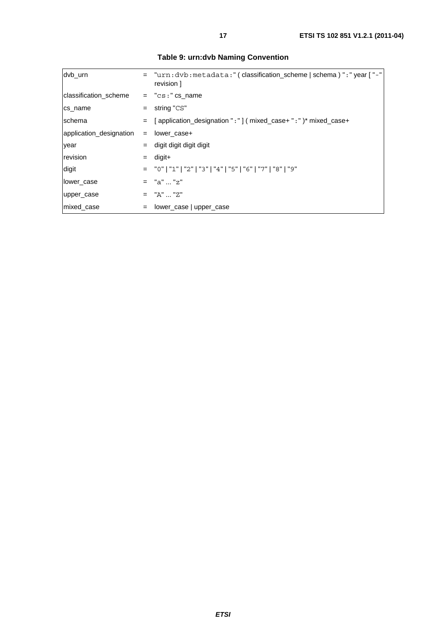| dvb urn                 |     | = "urn:dvb:metadata:" (classification_scheme   schema ) ":" year [ "-"<br>revision 1 |
|-------------------------|-----|--------------------------------------------------------------------------------------|
| classification_scheme   |     | $=$ " $cs:$ " $cs$ name                                                              |
| cs_name                 |     | $=$ string "CS"                                                                      |
| schema                  |     | = [application_designation ":"] ( mixed_case+ ": " ) * mixed_case+                   |
| application_designation | $=$ | lower_case+                                                                          |
| year                    | $=$ | digit digit digit digit                                                              |
| revision                | $=$ | digit+                                                                               |
| digit                   |     | = "0"   "1"   "2"   "3"   "4"   "5"   "6"   "7"   "8"   "9"                          |
| lower_case              |     | $=$ "a"  "z"                                                                         |
| upper_case              |     | $=$ "A"  "Z"                                                                         |
| mixed case              | $=$ | lower_case   upper_case                                                              |

**Table 9: urn:dvb Naming Convention**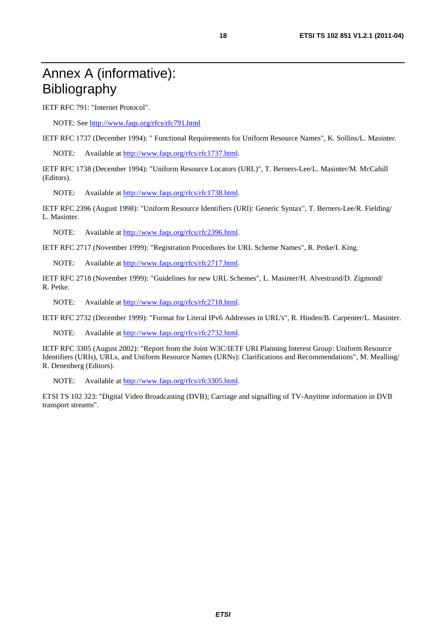# Annex A (informative): Bibliography

IETF RFC 791: "Internet Protocol".

NOTE: See<http://www.faqs.org/rfcs/rfc791.html>

IETF RFC 1737 (December 1994): " Functional Requirements for Uniform Resource Names", K. Sollins/L. Masinter.

NOTE: Available at [http://www.faqs.org/rfcs/rfc1737.html.](http://www.faqs.org/rfcs/rfc1737.html)

IETF RFC 1738 (December 1994): "Uniform Resource Locators (URL)", T. Berners-Lee/L. Masinter/M. McCahill (Editors).

NOTE: Available at [http://www.faqs.org/rfcs/rfc1738.html.](http://www.faqs.org/rfcs/rfc1738.html)

IETF RFC 2396 (August 1998): "Uniform Resource Identifiers (URI): Generic Syntax", T. Berners-Lee/R. Fielding/ L. Masinter.

NOTE: Available at [http://www.faqs.org/rfcs/rfc2396.html.](http://www.faqs.org/rfcs/rfc2396.html)

IETF RFC 2717 (November 1999): "Registration Procedures for URL Scheme Names", R. Petke/I. King.

NOTE: Available at [http://www.faqs.org/rfcs/rfc2717.html.](http://www.faqs.org/rfcs/rfc2717.html)

IETF RFC 2718 (November 1999): "Guidelines for new URL Schemes", L. Masinter/H. Alvestrand/D. Zigmond/ R. Petke.

NOTE: Available at [http://www.faqs.org/rfcs/rfc2718.html.](http://www.faqs.org/rfcs/rfc2718.html)

IETF RFC 2732 (December 1999): "Format for Literal IPv6 Addresses in URL's", R. Hinden/B. Carpenter/L. Masinter.

NOTE: Available at [http://www.faqs.org/rfcs/rfc2732.html.](http://www.faqs.org/rfcs/rfc2732.html)

IETF RFC 3305 (August 2002): "Report from the Joint W3C/IETF URI Planning Interest Group: Uniform Resource Identifiers (URIs), URLs, and Uniform Resource Names (URNs): Clarifications and Recommendations", M. Mealling/ R. Denenberg (Editors).

NOTE: Available at [http://www.faqs.org/rfcs/rfc3305.html.](http://www.faqs.org/rfcs/rfc3305.html)

ETSI TS 102 323: "Digital Video Broadcasting (DVB); Carriage and signalling of TV-Anytime information in DVB transport streams".